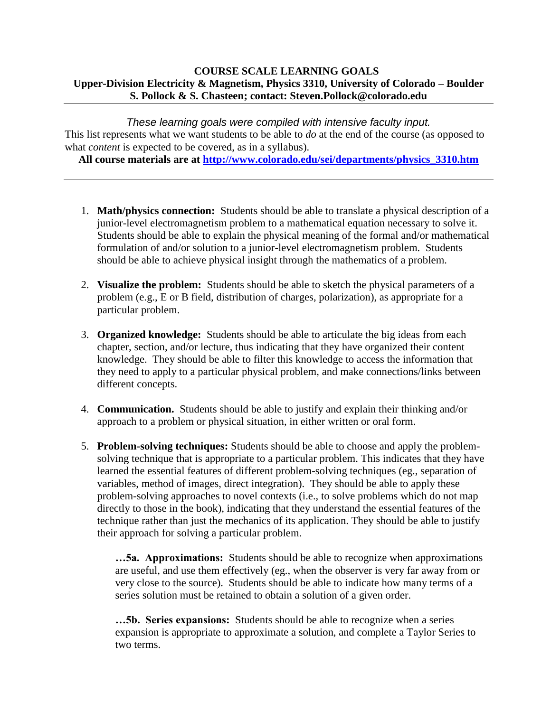#### **COURSE SCALE LEARNING GOALS Upper-Division Electricity & Magnetism, Physics 3310, University of Colorado – Boulder S. Pollock & S. Chasteen; contact: Steven.Pollock@colorado.edu**

*These learning goals were compiled with intensive faculty input.* This list represents what we want students to be able to *do* at the end of the course (as opposed to what *content* is expected to be covered, as in a syllabus).

**All course materials are at [http://www.colorado.edu/sei/departments/physics\\_3310.htm](http://www.colorado.edu/sei/departments/physics_3310.htm)**

- 1. **Math/physics connection:** Students should be able to translate a physical description of a junior-level electromagnetism problem to a mathematical equation necessary to solve it. Students should be able to explain the physical meaning of the formal and/or mathematical formulation of and/or solution to a junior-level electromagnetism problem. Students should be able to achieve physical insight through the mathematics of a problem.
- 2. **Visualize the problem:** Students should be able to sketch the physical parameters of a problem (e.g., E or B field, distribution of charges, polarization), as appropriate for a particular problem.
- 3. **Organized knowledge:** Students should be able to articulate the big ideas from each chapter, section, and/or lecture, thus indicating that they have organized their content knowledge. They should be able to filter this knowledge to access the information that they need to apply to a particular physical problem, and make connections/links between different concepts.
- 4. **Communication.** Students should be able to justify and explain their thinking and/or approach to a problem or physical situation, in either written or oral form.
- 5. **Problem-solving techniques:** Students should be able to choose and apply the problemsolving technique that is appropriate to a particular problem. This indicates that they have learned the essential features of different problem-solving techniques (eg., separation of variables, method of images, direct integration). They should be able to apply these problem-solving approaches to novel contexts (i.e., to solve problems which do not map directly to those in the book), indicating that they understand the essential features of the technique rather than just the mechanics of its application. They should be able to justify their approach for solving a particular problem.

**…5a. Approximations:** Students should be able to recognize when approximations are useful, and use them effectively (eg., when the observer is very far away from or very close to the source). Students should be able to indicate how many terms of a series solution must be retained to obtain a solution of a given order.

**…5b. Series expansions:** Students should be able to recognize when a series expansion is appropriate to approximate a solution, and complete a Taylor Series to two terms.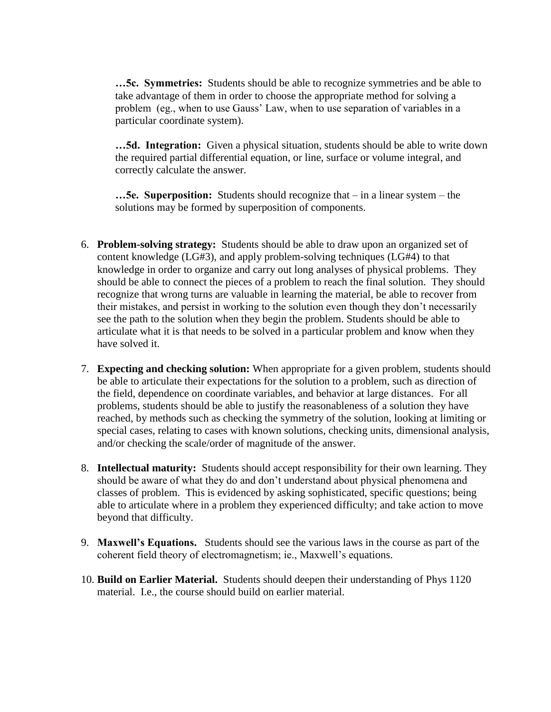**…5c. Symmetries:** Students should be able to recognize symmetries and be able to take advantage of them in order to choose the appropriate method for solving a problem (eg., when to use Gauss' Law, when to use separation of variables in a particular coordinate system).

**…5d. Integration:** Given a physical situation, students should be able to write down the required partial differential equation, or line, surface or volume integral, and correctly calculate the answer.

**…5e. Superposition:** Students should recognize that – in a linear system – the solutions may be formed by superposition of components.

- 6. **Problem-solving strategy:** Students should be able to draw upon an organized set of content knowledge (LG#3), and apply problem-solving techniques (LG#4) to that knowledge in order to organize and carry out long analyses of physical problems. They should be able to connect the pieces of a problem to reach the final solution. They should recognize that wrong turns are valuable in learning the material, be able to recover from their mistakes, and persist in working to the solution even though they don't necessarily see the path to the solution when they begin the problem. Students should be able to articulate what it is that needs to be solved in a particular problem and know when they have solved it.
- 7. **Expecting and checking solution:** When appropriate for a given problem, students should be able to articulate their expectations for the solution to a problem, such as direction of the field, dependence on coordinate variables, and behavior at large distances. For all problems, students should be able to justify the reasonableness of a solution they have reached, by methods such as checking the symmetry of the solution, looking at limiting or special cases, relating to cases with known solutions, checking units, dimensional analysis, and/or checking the scale/order of magnitude of the answer.
- 8. **Intellectual maturity:** Students should accept responsibility for their own learning. They should be aware of what they do and don't understand about physical phenomena and classes of problem. This is evidenced by asking sophisticated, specific questions; being able to articulate where in a problem they experienced difficulty; and take action to move beyond that difficulty.
- 9. **Maxwell's Equations.** Students should see the various laws in the course as part of the coherent field theory of electromagnetism; ie., Maxwell's equations.
- 10. **Build on Earlier Material.** Students should deepen their understanding of Phys 1120 material. I.e., the course should build on earlier material.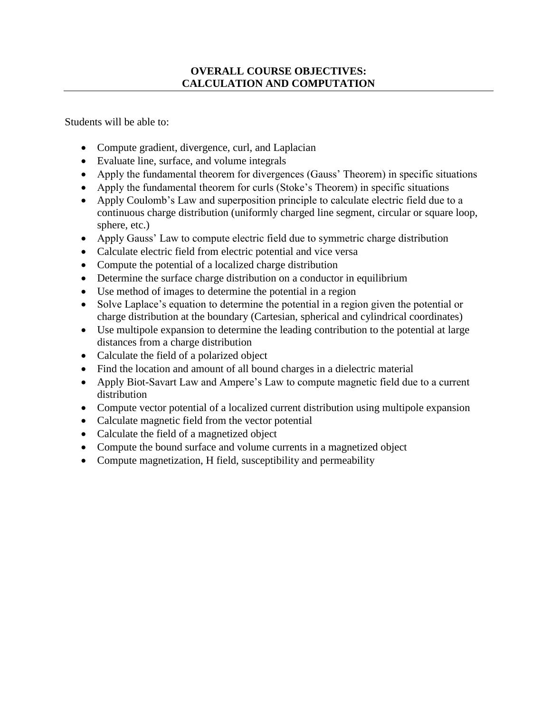### **OVERALL COURSE OBJECTIVES: CALCULATION AND COMPUTATION**

Students will be able to:

- Compute gradient, divergence, curl, and Laplacian
- Evaluate line, surface, and volume integrals
- Apply the fundamental theorem for divergences (Gauss' Theorem) in specific situations
- Apply the fundamental theorem for curls (Stoke's Theorem) in specific situations
- Apply Coulomb's Law and superposition principle to calculate electric field due to a continuous charge distribution (uniformly charged line segment, circular or square loop, sphere, etc.)
- Apply Gauss' Law to compute electric field due to symmetric charge distribution
- Calculate electric field from electric potential and vice versa
- Compute the potential of a localized charge distribution
- Determine the surface charge distribution on a conductor in equilibrium
- Use method of images to determine the potential in a region
- Solve Laplace's equation to determine the potential in a region given the potential or charge distribution at the boundary (Cartesian, spherical and cylindrical coordinates)
- Use multipole expansion to determine the leading contribution to the potential at large distances from a charge distribution
- Calculate the field of a polarized object
- Find the location and amount of all bound charges in a dielectric material
- Apply Biot-Savart Law and Ampere's Law to compute magnetic field due to a current distribution
- Compute vector potential of a localized current distribution using multipole expansion
- Calculate magnetic field from the vector potential
- Calculate the field of a magnetized object
- Compute the bound surface and volume currents in a magnetized object
- Compute magnetization, H field, susceptibility and permeability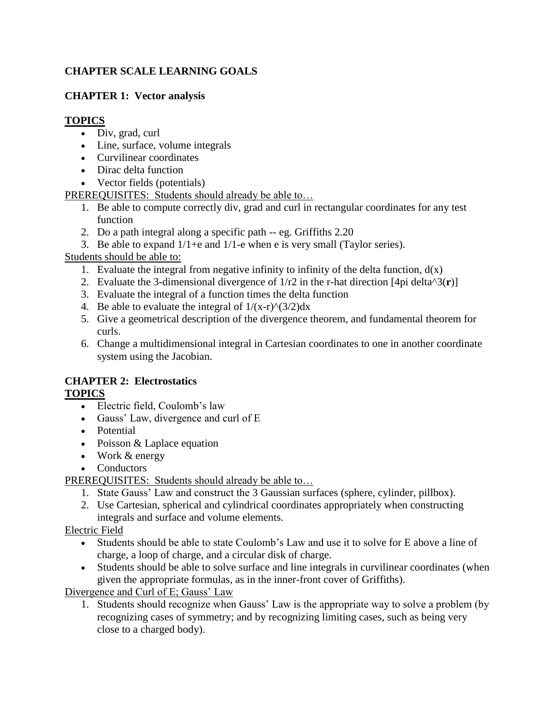## **CHAPTER SCALE LEARNING GOALS**

## **CHAPTER 1: Vector analysis**

## **TOPICS**

- Div, grad, curl
- Line, surface, volume integrals
- Curvilinear coordinates
- Dirac delta function
- Vector fields (potentials)

PREREQUISITES: Students should already be able to…

- 1. Be able to compute correctly div, grad and curl in rectangular coordinates for any test function
- 2. Do a path integral along a specific path -- eg. Griffiths 2.20
- 3. Be able to expand  $1/1+\epsilon$  and  $1/1-\epsilon$  when e is very small (Taylor series).

Students should be able to:

- 1. Evaluate the integral from negative infinity to infinity of the delta function,  $d(x)$
- 2. Evaluate the 3-dimensional divergence of 1/r2 in the r-hat direction [4pi delta^3(**r**)]
- 3. Evaluate the integral of a function times the delta function
- 4. Be able to evaluate the integral of  $1/(x-r)^{\hat{ }}(3/2)dx$
- 5. Give a geometrical description of the divergence theorem, and fundamental theorem for curls.
- 6. Change a multidimensional integral in Cartesian coordinates to one in another coordinate system using the Jacobian.

#### **CHAPTER 2: Electrostatics TOPICS**

- Electric field, Coulomb's law
- Gauss' Law, divergence and curl of E
- Potential
- Poisson & Laplace equation
- Work & energy
- Conductors

PREREQUISITES: Students should already be able to…

- 1. State Gauss' Law and construct the 3 Gaussian surfaces (sphere, cylinder, pillbox).
- 2. Use Cartesian, spherical and cylindrical coordinates appropriately when constructing integrals and surface and volume elements.

Electric Field

- Students should be able to state Coulomb's Law and use it to solve for E above a line of charge, a loop of charge, and a circular disk of charge.
- Students should be able to solve surface and line integrals in curvilinear coordinates (when given the appropriate formulas, as in the inner-front cover of Griffiths).

Divergence and Curl of E; Gauss' Law

1. Students should recognize when Gauss' Law is the appropriate way to solve a problem (by recognizing cases of symmetry; and by recognizing limiting cases, such as being very close to a charged body).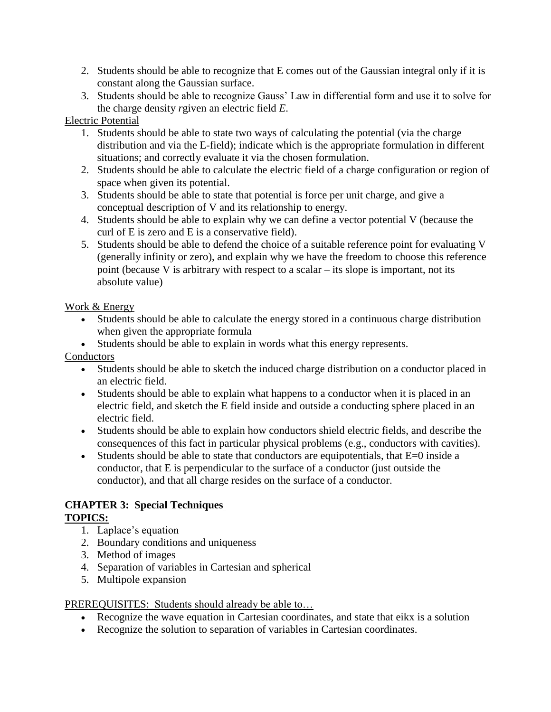- 2. Students should be able to recognize that E comes out of the Gaussian integral only if it is constant along the Gaussian surface.
- 3. Students should be able to recognize Gauss' Law in differential form and use it to solve for the charge density *r*given an electric field *E*.

### Electric Potential

- 1. Students should be able to state two ways of calculating the potential (via the charge distribution and via the E-field); indicate which is the appropriate formulation in different situations; and correctly evaluate it via the chosen formulation.
- 2. Students should be able to calculate the electric field of a charge configuration or region of space when given its potential.
- 3. Students should be able to state that potential is force per unit charge, and give a conceptual description of V and its relationship to energy.
- 4. Students should be able to explain why we can define a vector potential V (because the curl of E is zero and E is a conservative field).
- 5. Students should be able to defend the choice of a suitable reference point for evaluating V (generally infinity or zero), and explain why we have the freedom to choose this reference point (because V is arbitrary with respect to a scalar – its slope is important, not its absolute value)

### Work & Energy

- Students should be able to calculate the energy stored in a continuous charge distribution when given the appropriate formula
- Students should be able to explain in words what this energy represents.

Conductors

- Students should be able to sketch the induced charge distribution on a conductor placed in an electric field.
- Students should be able to explain what happens to a conductor when it is placed in an electric field, and sketch the E field inside and outside a conducting sphere placed in an electric field.
- Students should be able to explain how conductors shield electric fields, and describe the consequences of this fact in particular physical problems (e.g., conductors with cavities).
- Students should be able to state that conductors are equipotentials, that  $E=0$  inside a conductor, that E is perpendicular to the surface of a conductor (just outside the conductor), and that all charge resides on the surface of a conductor.

#### **CHAPTER 3: Special Techniques TOPICS:**

- 1. Laplace's equation
- 2. Boundary conditions and uniqueness
- 3. Method of images
- 4. Separation of variables in Cartesian and spherical
- 5. Multipole expansion

#### PREREQUISITES: Students should already be able to…

- Recognize the wave equation in Cartesian coordinates, and state that eikx is a solution
- Recognize the solution to separation of variables in Cartesian coordinates.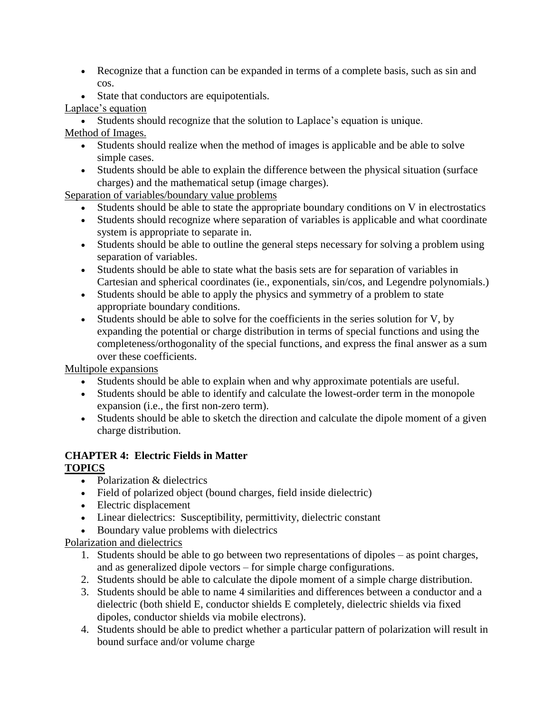- Recognize that a function can be expanded in terms of a complete basis, such as sin and cos.
- State that conductors are equipotentials.

## Laplace's equation

Students should recognize that the solution to Laplace's equation is unique.

# Method of Images.

- Students should realize when the method of images is applicable and be able to solve simple cases.
- Students should be able to explain the difference between the physical situation (surface charges) and the mathematical setup (image charges).

Separation of variables/boundary value problems

- Students should be able to state the appropriate boundary conditions on V in electrostatics
- Students should recognize where separation of variables is applicable and what coordinate system is appropriate to separate in.
- Students should be able to outline the general steps necessary for solving a problem using separation of variables.
- Students should be able to state what the basis sets are for separation of variables in Cartesian and spherical coordinates (ie., exponentials, sin/cos, and Legendre polynomials.)
- Students should be able to apply the physics and symmetry of a problem to state appropriate boundary conditions.
- Students should be able to solve for the coefficients in the series solution for V, by expanding the potential or charge distribution in terms of special functions and using the completeness/orthogonality of the special functions, and express the final answer as a sum over these coefficients.

Multipole expansions

- Students should be able to explain when and why approximate potentials are useful.
- Students should be able to identify and calculate the lowest-order term in the monopole expansion (i.e., the first non-zero term).
- Students should be able to sketch the direction and calculate the dipole moment of a given charge distribution.

## **CHAPTER 4: Electric Fields in Matter TOPICS**

- Polarization & dielectrics
- Field of polarized object (bound charges, field inside dielectric)
- Electric displacement
- Linear dielectrics: Susceptibility, permittivity, dielectric constant
- Boundary value problems with dielectrics

Polarization and dielectrics

- 1. Students should be able to go between two representations of dipoles as point charges, and as generalized dipole vectors – for simple charge configurations.
- 2. Students should be able to calculate the dipole moment of a simple charge distribution.
- 3. Students should be able to name 4 similarities and differences between a conductor and a dielectric (both shield E, conductor shields E completely, dielectric shields via fixed dipoles, conductor shields via mobile electrons).
- 4. Students should be able to predict whether a particular pattern of polarization will result in bound surface and/or volume charge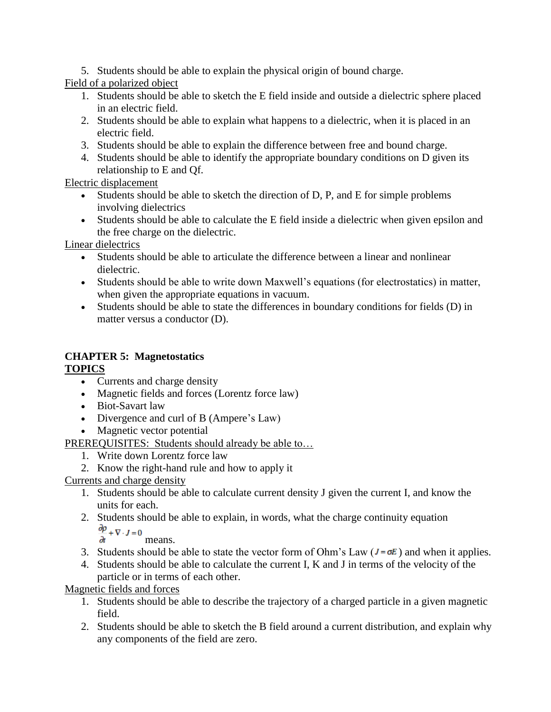5. Students should be able to explain the physical origin of bound charge.

Field of a polarized object

- 1. Students should be able to sketch the E field inside and outside a dielectric sphere placed in an electric field.
- 2. Students should be able to explain what happens to a dielectric, when it is placed in an electric field.
- 3. Students should be able to explain the difference between free and bound charge.
- 4. Students should be able to identify the appropriate boundary conditions on D given its relationship to E and Qf.

Electric displacement

- Students should be able to sketch the direction of D, P, and E for simple problems involving dielectrics
- Students should be able to calculate the E field inside a dielectric when given epsilon and the free charge on the dielectric.

Linear dielectrics

- Students should be able to articulate the difference between a linear and nonlinear dielectric.
- Students should be able to write down Maxwell's equations (for electrostatics) in matter, when given the appropriate equations in vacuum.
- Students should be able to state the differences in boundary conditions for fields (D) in matter versus a conductor (D).

## **CHAPTER 5: Magnetostatics TOPICS**

- Currents and charge density
- Magnetic fields and forces (Lorentz force law)
- Biot-Savart law
- Divergence and curl of B (Ampere's Law)
- Magnetic vector potential
- PREREQUISITES: Students should already be able to...
	- 1. Write down Lorentz force law
	- 2. Know the right-hand rule and how to apply it

Currents and charge density

- 1. Students should be able to calculate current density J given the current I, and know the units for each.
- 2. Students should be able to explain, in words, what the charge continuity equation Studies  $\frac{\partial p}{\partial x} + \nabla \cdot J = 0$  means.

- 3. Students should be able to state the vector form of Ohm's Law ( $J = \sigma E$ ) and when it applies.
- 4. Students should be able to calculate the current I, K and J in terms of the velocity of the particle or in terms of each other.

Magnetic fields and forces

- 1. Students should be able to describe the trajectory of a charged particle in a given magnetic field.
- 2. Students should be able to sketch the B field around a current distribution, and explain why any components of the field are zero.